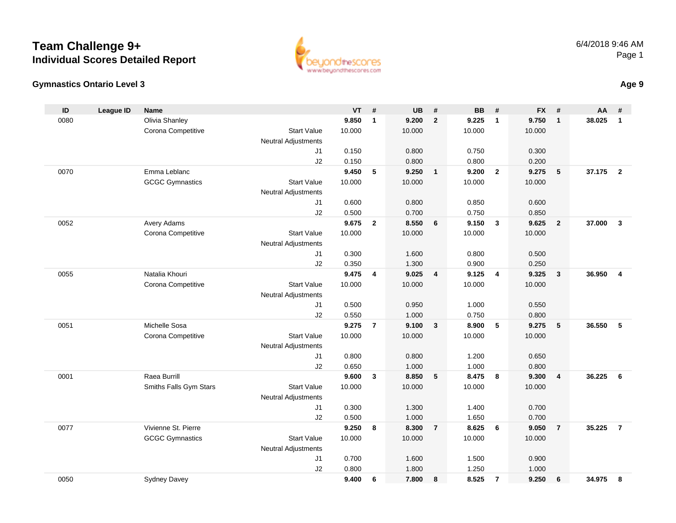



**Age 9**

| ID   | League ID | <b>Name</b>            |                            | <b>VT</b> | #              | UB     | #                       | <b>BB</b> | #              | <b>FX</b> | #              | AA     | #              |
|------|-----------|------------------------|----------------------------|-----------|----------------|--------|-------------------------|-----------|----------------|-----------|----------------|--------|----------------|
| 0080 |           | Olivia Shanley         |                            | 9.850     | $\mathbf{1}$   | 9.200  | $\overline{2}$          | 9.225     | $\overline{1}$ | 9.750     | $\mathbf{1}$   | 38.025 | $\mathbf{1}$   |
|      |           | Corona Competitive     | <b>Start Value</b>         | 10.000    |                | 10.000 |                         | 10.000    |                | 10.000    |                |        |                |
|      |           |                        | Neutral Adjustments        |           |                |        |                         |           |                |           |                |        |                |
|      |           |                        | J <sub>1</sub>             | 0.150     |                | 0.800  |                         | 0.750     |                | 0.300     |                |        |                |
|      |           |                        | J2                         | 0.150     |                | 0.800  |                         | 0.800     |                | 0.200     |                |        |                |
| 0070 |           | Emma Leblanc           |                            | 9.450     | 5              | 9.250  | $\overline{\mathbf{1}}$ | 9.200     | $\overline{2}$ | 9.275     | 5              | 37.175 | $\overline{2}$ |
|      |           | <b>GCGC Gymnastics</b> | <b>Start Value</b>         | 10.000    |                | 10.000 |                         | 10.000    |                | 10.000    |                |        |                |
|      |           |                        | Neutral Adjustments        |           |                |        |                         |           |                |           |                |        |                |
|      |           |                        | J <sub>1</sub>             | 0.600     |                | 0.800  |                         | 0.850     |                | 0.600     |                |        |                |
|      |           |                        | J2                         | 0.500     |                | 0.700  |                         | 0.750     |                | 0.850     |                |        |                |
| 0052 |           | Avery Adams            |                            | 9.675     | $\overline{2}$ | 8.550  | 6                       | 9.150     | $\mathbf{3}$   | 9.625     | $\overline{2}$ | 37.000 | $\mathbf{3}$   |
|      |           | Corona Competitive     | <b>Start Value</b>         | 10.000    |                | 10.000 |                         | 10.000    |                | 10.000    |                |        |                |
|      |           |                        | Neutral Adjustments        |           |                |        |                         |           |                |           |                |        |                |
|      |           |                        | J <sub>1</sub>             | 0.300     |                | 1.600  |                         | 0.800     |                | 0.500     |                |        |                |
|      |           |                        | J2                         | 0.350     |                | 1.300  |                         | 0.900     |                | 0.250     |                |        |                |
| 0055 |           | Natalia Khouri         |                            | 9.475     | 4              | 9.025  | $\overline{4}$          | 9.125     | $\overline{4}$ | 9.325     | $\mathbf{3}$   | 36.950 | 4              |
|      |           | Corona Competitive     | <b>Start Value</b>         | 10.000    |                | 10.000 |                         | 10.000    |                | 10.000    |                |        |                |
|      |           |                        | <b>Neutral Adjustments</b> |           |                |        |                         |           |                |           |                |        |                |
|      |           |                        | J <sub>1</sub>             | 0.500     |                | 0.950  |                         | 1.000     |                | 0.550     |                |        |                |
|      |           |                        | J2                         | 0.550     |                | 1.000  |                         | 0.750     |                | 0.800     |                |        |                |
| 0051 |           | Michelle Sosa          |                            | 9.275     | $\overline{7}$ | 9.100  | $\mathbf{3}$            | 8.900     | 5              | 9.275     | 5              | 36.550 | 5              |
|      |           | Corona Competitive     | <b>Start Value</b>         | 10.000    |                | 10.000 |                         | 10.000    |                | 10.000    |                |        |                |
|      |           |                        | <b>Neutral Adjustments</b> |           |                |        |                         |           |                |           |                |        |                |
|      |           |                        | J <sub>1</sub>             | 0.800     |                | 0.800  |                         | 1.200     |                | 0.650     |                |        |                |
|      |           |                        | J2                         | 0.650     |                | 1.000  |                         | 1.000     |                | 0.800     |                |        |                |
| 0001 |           | Raea Burrill           |                            | 9.600     | 3              | 8.850  | 5                       | 8.475     | 8              | 9.300     | $\overline{4}$ | 36.225 | 6              |
|      |           | Smiths Falls Gym Stars | <b>Start Value</b>         | 10.000    |                | 10.000 |                         | 10.000    |                | 10.000    |                |        |                |
|      |           |                        | <b>Neutral Adjustments</b> |           |                |        |                         |           |                |           |                |        |                |
|      |           |                        | J <sub>1</sub>             | 0.300     |                | 1.300  |                         | 1.400     |                | 0.700     |                |        |                |
|      |           |                        | J2                         | 0.500     |                | 1.000  |                         | 1.650     |                | 0.700     |                |        |                |
| 0077 |           | Vivienne St. Pierre    |                            | 9.250     | 8              | 8.300  | $\overline{7}$          | 8.625     | 6              | 9.050     | $\overline{7}$ | 35.225 | $\overline{7}$ |
|      |           | <b>GCGC Gymnastics</b> | <b>Start Value</b>         | 10.000    |                | 10.000 |                         | 10.000    |                | 10.000    |                |        |                |
|      |           |                        | <b>Neutral Adjustments</b> |           |                |        |                         |           |                |           |                |        |                |
|      |           |                        | J <sub>1</sub>             | 0.700     |                | 1.600  |                         | 1.500     |                | 0.900     |                |        |                |
|      |           |                        | J2                         | 0.800     |                | 1.800  |                         | 1.250     |                | 1.000     |                |        |                |
| 0050 |           | <b>Sydney Davey</b>    |                            | 9.400     | 6              | 7.800  | 8                       | 8.525     | $\overline{7}$ | 9.250     | 6              | 34.975 | 8              |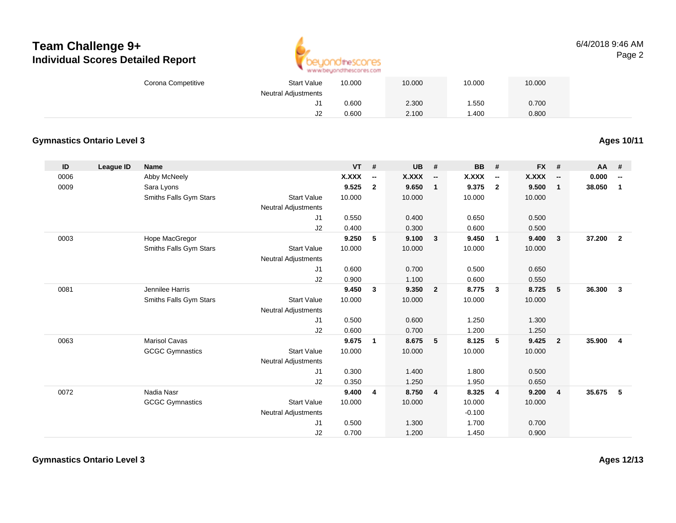

#### 6/4/2018 9:46 AMPage 2

|               |                                   | Corona Competitive     | <b>Start Value</b><br><b>Neutral Adjustments</b> | 10.000       |                          | 10.000       |                | 10.000         |                          | 10.000         |                          |          |                          |
|---------------|-----------------------------------|------------------------|--------------------------------------------------|--------------|--------------------------|--------------|----------------|----------------|--------------------------|----------------|--------------------------|----------|--------------------------|
|               |                                   |                        | J <sub>1</sub>                                   | 0.600        |                          | 2.300        |                | 1.550          |                          | 0.700          |                          |          |                          |
|               |                                   |                        | J2                                               | 0.600        |                          | 2.100        |                | 1.400          |                          | 0.800          |                          |          |                          |
|               | <b>Gymnastics Ontario Level 3</b> |                        |                                                  |              |                          |              |                |                |                          |                |                          |          | <b>Ages 10/11</b>        |
| $\mathsf{ID}$ | <b>League ID</b>                  | <b>Name</b>            |                                                  | VT           | #                        | <b>UB</b>    | $\pmb{\#}$     | <b>BB</b>      | $\pmb{\#}$               | <b>FX</b>      | $\pmb{\#}$               | AA       | #                        |
| 0006          |                                   | Abby McNeely           |                                                  | <b>X.XXX</b> | $\overline{\phantom{a}}$ | <b>X.XXX</b> | --             | X.XXX          | $\overline{\phantom{a}}$ | <b>X.XXX</b>   | $\overline{\phantom{a}}$ | 0.000    | $\overline{\phantom{a}}$ |
| 0009          |                                   | Sara Lyons             |                                                  | 9.525        | $\overline{2}$           | 9.650        | $\mathbf{1}$   | 9.375          | $\overline{2}$           | 9.500          | $\overline{1}$           | 38.050 1 |                          |
|               |                                   | Smiths Falls Gym Stars | <b>Start Value</b>                               | 10.000       |                          | 10.000       |                | 10.000         |                          | 10.000         |                          |          |                          |
|               |                                   |                        | <b>Neutral Adjustments</b>                       |              |                          |              |                |                |                          |                |                          |          |                          |
|               |                                   |                        | J1                                               | 0.550        |                          | 0.400        |                | 0.650          |                          | 0.500          |                          |          |                          |
|               |                                   |                        | J2                                               | 0.400        |                          | 0.300        |                | 0.600          |                          | 0.500          |                          |          |                          |
| 0003          |                                   | Hope MacGregor         |                                                  | 9.250        | 5                        | 9.100        | $\mathbf{3}$   | 9.450          | $\mathbf{1}$             | 9.400          | $\mathbf{3}$             | 37.200 2 |                          |
|               |                                   | Smiths Falls Gym Stars | <b>Start Value</b>                               | 10.000       |                          | 10.000       |                | 10.000         |                          | 10.000         |                          |          |                          |
|               |                                   |                        | <b>Neutral Adjustments</b>                       |              |                          |              |                |                |                          |                |                          |          |                          |
|               |                                   |                        | J1                                               | 0.600        |                          | 0.700        |                | 0.500          |                          | 0.650          |                          |          |                          |
|               |                                   |                        | J2                                               | 0.900        |                          | 1.100        |                | 0.600          |                          | 0.550          |                          |          |                          |
| 0081          |                                   | Jennilee Harris        |                                                  | 9.450        | $\overline{\mathbf{3}}$  | 9.350        | $\overline{2}$ | 8.775          | $\mathbf{3}$             | 8.725          | $5\phantom{.0}$          | 36.300   | $\overline{\mathbf{3}}$  |
|               |                                   | Smiths Falls Gym Stars | Start Value                                      | 10.000       |                          | 10.000       |                | 10.000         |                          | 10.000         |                          |          |                          |
|               |                                   |                        | <b>Neutral Adjustments</b><br>J <sub>1</sub>     | 0.500        |                          | 0.600        |                |                |                          |                |                          |          |                          |
|               |                                   |                        | J2                                               | 0.600        |                          | 0.700        |                | 1.250<br>1.200 |                          | 1.300<br>1.250 |                          |          |                          |
| 0063          |                                   | <b>Marisol Cavas</b>   |                                                  | 9.675        | $\overline{1}$           | 8.675        | 5              | 8.125          | 5                        | 9.425          | $\overline{2}$           | 35.900   | $\overline{\mathbf{4}}$  |
|               |                                   | <b>GCGC Gymnastics</b> | <b>Start Value</b>                               | 10.000       |                          | 10.000       |                | 10.000         |                          | 10.000         |                          |          |                          |
|               |                                   |                        | <b>Neutral Adjustments</b>                       |              |                          |              |                |                |                          |                |                          |          |                          |
|               |                                   |                        | J1                                               | 0.300        |                          | 1.400        |                | 1.800          |                          | 0.500          |                          |          |                          |
|               |                                   |                        | J2                                               | 0.350        |                          | 1.250        |                | 1.950          |                          | 0.650          |                          |          |                          |
| 0072          |                                   | Nadia Nasr             |                                                  | 9.400        | $\overline{4}$           | 8.750        | $\overline{4}$ | 8.325          | $\overline{\mathbf{4}}$  | 9.200          | $\overline{4}$           | 35.675 5 |                          |
|               |                                   | <b>GCGC Gymnastics</b> | <b>Start Value</b>                               | 10.000       |                          | 10.000       |                | 10.000         |                          | 10.000         |                          |          |                          |
|               |                                   |                        | <b>Neutral Adjustments</b>                       |              |                          |              |                | $-0.100$       |                          |                |                          |          |                          |
|               |                                   |                        | J1                                               | 0.500        |                          | 1.300        |                | 1.700          |                          | 0.700          |                          |          |                          |
|               |                                   |                        | J2                                               | 0.700        |                          | 1.200        |                | 1.450          |                          | 0.900          |                          |          |                          |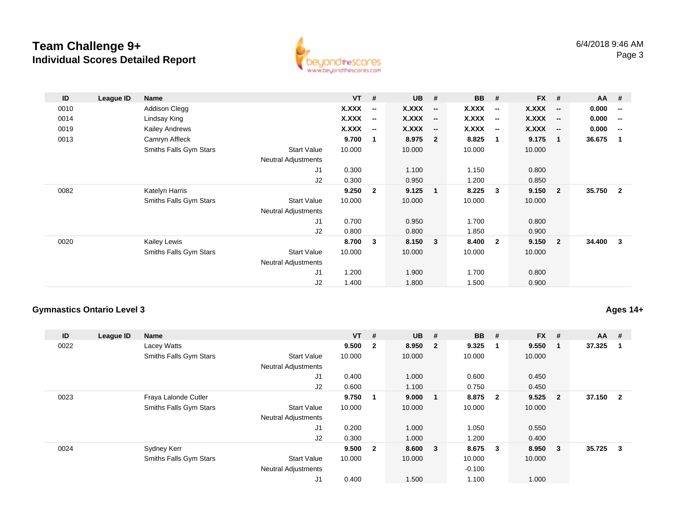

| ID   | League ID | <b>Name</b>            |                            | $VT$ #       |                          | <b>UB</b>    | #                        | <b>BB</b>    | #                        | <b>FX</b>    | #                        | AA       | #                        |
|------|-----------|------------------------|----------------------------|--------------|--------------------------|--------------|--------------------------|--------------|--------------------------|--------------|--------------------------|----------|--------------------------|
| 0010 |           | <b>Addison Clegg</b>   |                            | <b>X.XXX</b> | $\overline{\phantom{a}}$ | X.XXX        | $\overline{\phantom{a}}$ | <b>X.XXX</b> | $\overline{\phantom{a}}$ | <b>X.XXX</b> | $\overline{\phantom{a}}$ | 0.000    | $\overline{\phantom{a}}$ |
| 0014 |           | Lindsay King           |                            | <b>X.XXX</b> | $\overline{\phantom{a}}$ | <b>X.XXX</b> | $\overline{\phantom{a}}$ | X.XXX        | $\overline{\phantom{a}}$ | X.XXX        | $\overline{\phantom{a}}$ | 0.000    | $\overline{\phantom{a}}$ |
| 0019 |           | Kailey Andrews         |                            | X.XXX        | $\overline{\phantom{a}}$ | <b>X.XXX</b> | $\overline{\phantom{a}}$ | X.XXX        | $\overline{\phantom{a}}$ | X.XXX        | $\overline{\phantom{a}}$ | 0.000    | $\overline{\phantom{a}}$ |
| 0013 |           | Camryn Affleck         |                            | 9.700        | 1                        | 8.975        | $\overline{2}$           | 8.825        | 1                        | 9.175        | $\mathbf{1}$             | 36.675   | $\blacksquare$           |
|      |           | Smiths Falls Gym Stars | <b>Start Value</b>         | 10.000       |                          | 10.000       |                          | 10.000       |                          | 10.000       |                          |          |                          |
|      |           |                        | <b>Neutral Adjustments</b> |              |                          |              |                          |              |                          |              |                          |          |                          |
|      |           |                        | J1                         | 0.300        |                          | 1.100        |                          | 1.150        |                          | 0.800        |                          |          |                          |
|      |           |                        | J2                         | 0.300        |                          | 0.950        |                          | 1.200        |                          | 0.850        |                          |          |                          |
| 0082 |           | Katelyn Harris         |                            | 9.250        | $\mathbf{2}$             | 9.125        | $\mathbf 1$              | 8.225        | 3                        | 9.150        | $\overline{2}$           | 35.750 2 |                          |
|      |           | Smiths Falls Gym Stars | <b>Start Value</b>         | 10.000       |                          | 10.000       |                          | 10.000       |                          | 10.000       |                          |          |                          |
|      |           |                        | <b>Neutral Adjustments</b> |              |                          |              |                          |              |                          |              |                          |          |                          |
|      |           |                        | J1                         | 0.700        |                          | 0.950        |                          | 1.700        |                          | 0.800        |                          |          |                          |
|      |           |                        | J2                         | 0.800        |                          | 0.800        |                          | 1.850        |                          | 0.900        |                          |          |                          |
| 0020 |           | <b>Kailey Lewis</b>    |                            | 8.700        | 3                        | 8.150        | 3                        | 8.400        | $\overline{2}$           | 9.150        | $\overline{2}$           | 34.400 3 |                          |
|      |           | Smiths Falls Gym Stars | <b>Start Value</b>         | 10.000       |                          | 10.000       |                          | 10.000       |                          | 10.000       |                          |          |                          |
|      |           |                        | <b>Neutral Adjustments</b> |              |                          |              |                          |              |                          |              |                          |          |                          |
|      |           |                        | J1                         | 1.200        |                          | 1.900        |                          | 1.700        |                          | 0.800        |                          |          |                          |
|      |           |                        | J2                         | 1.400        |                          | 1.800        |                          | 1.500        |                          | 0.900        |                          |          |                          |

### **Gymnastics Ontario Level 3**

**Ages 14+**

| ID   | League ID | <b>Name</b>            |                            | $VT$ #  |                         | <b>UB</b> | #                       | <b>BB</b> | #                       | <b>FX</b> | #                       | <b>AA</b> | #              |
|------|-----------|------------------------|----------------------------|---------|-------------------------|-----------|-------------------------|-----------|-------------------------|-----------|-------------------------|-----------|----------------|
| 0022 |           | Lacey Watts            |                            | 9.500 2 |                         | 8.950 2   |                         | 9.325     | $\overline{1}$          | 9.550     | - 1                     | 37.325    |                |
|      |           | Smiths Falls Gym Stars | <b>Start Value</b>         | 10.000  |                         | 10.000    |                         | 10.000    |                         | 10.000    |                         |           |                |
|      |           |                        | <b>Neutral Adjustments</b> |         |                         |           |                         |           |                         |           |                         |           |                |
|      |           |                        | J1                         | 0.400   |                         | 1.000     |                         | 0.600     |                         | 0.450     |                         |           |                |
|      |           |                        | J2                         | 0.600   |                         | 1.100     |                         | 0.750     |                         | 0.450     |                         |           |                |
| 0023 |           | Fraya Lalonde Cutler   |                            | 9.750   | $\overline{\mathbf{1}}$ | 9.000     | $\sim$ 1                | 8.875     | $\overline{\mathbf{2}}$ | 9.525     | $\overline{\mathbf{2}}$ | 37.150    | $\overline{2}$ |
|      |           | Smiths Falls Gym Stars | Start Value                | 10.000  |                         | 10.000    |                         | 10.000    |                         | 10.000    |                         |           |                |
|      |           |                        | <b>Neutral Adjustments</b> |         |                         |           |                         |           |                         |           |                         |           |                |
|      |           |                        | J1                         | 0.200   |                         | 1.000     |                         | 1.050     |                         | 0.550     |                         |           |                |
|      |           |                        | J2                         | 0.300   |                         | 1.000     |                         | 1.200     |                         | 0.400     |                         |           |                |
| 0024 |           | Sydney Kerr            |                            | 9.500   | $\overline{\mathbf{2}}$ | 8.600     | $\overline{\mathbf{3}}$ | 8.675     | $\overline{\mathbf{3}}$ | 8.950     | $\overline{\mathbf{3}}$ | 35.725    | 3              |
|      |           | Smiths Falls Gym Stars | <b>Start Value</b>         | 10.000  |                         | 10.000    |                         | 10.000    |                         | 10.000    |                         |           |                |
|      |           |                        | <b>Neutral Adjustments</b> |         |                         |           |                         | $-0.100$  |                         |           |                         |           |                |
|      |           |                        | J1                         | 0.400   |                         | 1.500     |                         | 1.100     |                         | 1.000     |                         |           |                |